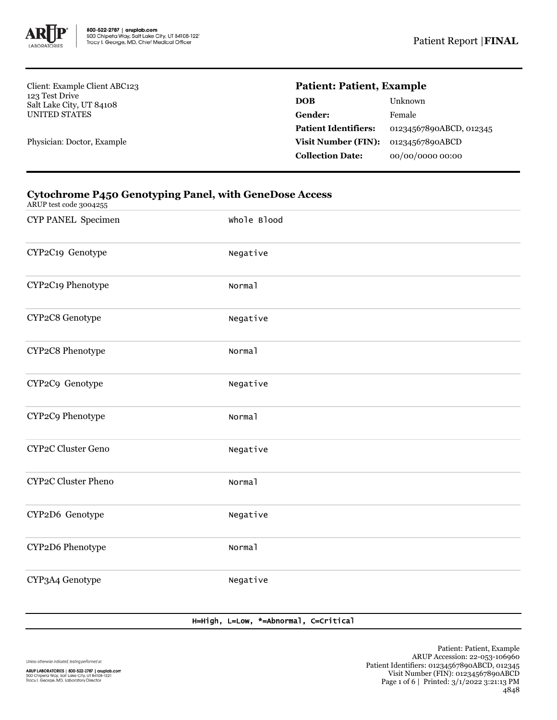

Client: Example Client ABC123 123 Test Drive Salt Lake City, UT 84108 UNITED STATES

Physician: Doctor, Example

# **Patient: Patient, Example**

| Unknown                 |
|-------------------------|
| Female                  |
| 01234567890ABCD, 012345 |
| 01234567890ABCD         |
| 00/00/0000 00:00        |
|                         |

## **Cytochrome P450 Genotyping Panel, with GeneDose Access**

ARUP test code 3004255

| CYP PANEL Specimen  | Whole Blood |
|---------------------|-------------|
| CYP2C19 Genotype    | Negative    |
| CYP2C19 Phenotype   | Normal      |
| CYP2C8 Genotype     | Negative    |
| CYP2C8 Phenotype    | Normal      |
| CYP2C9 Genotype     | Negative    |
| CYP2C9 Phenotype    | Normal      |
| CYP2C Cluster Geno  | Negative    |
| CYP2C Cluster Pheno | Normal      |
| CYP2D6 Genotype     | Negative    |
| CYP2D6 Phenotype    | Normal      |
| CYP3A4 Genotype     | Negative    |

### H=High, L=Low, \*=Abnormal, C=Critical

Unless otherwise indicated, testing performed at: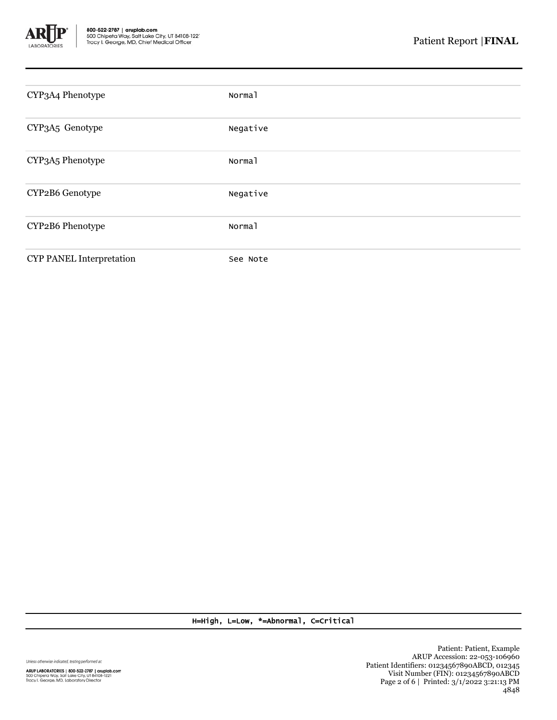

| CYP3A4 Phenotype         | Normal   |
|--------------------------|----------|
| CYP3A5 Genotype          | Negative |
| CYP3A5 Phenotype         | Normal   |
| CYP2B6 Genotype          | Negative |
| CYP2B6 Phenotype         | Normal   |
| CYP PANEL Interpretation | See Note |

H=High, L=Low, \*=Abnormal, C=Critical

Unless otherwise indicated, testing performed at: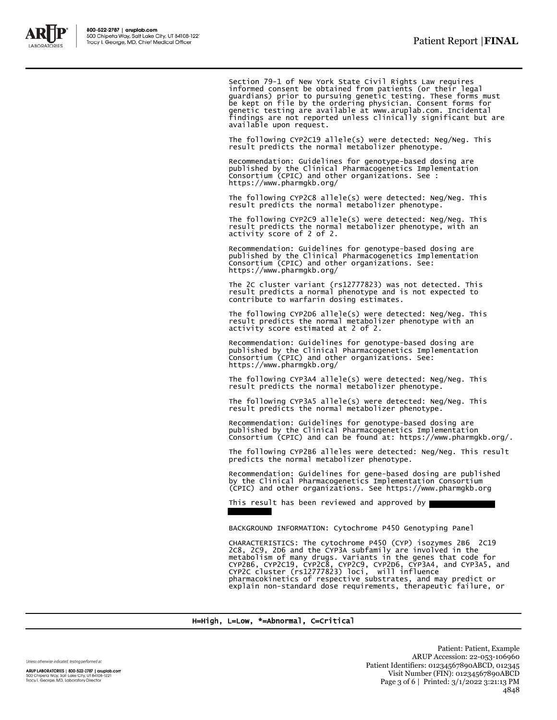

Section 79-1 of New York State Civil Rights Law requires informed consent be obtained from patients (or their legal guardians) prior to pursuing genetic testing. These forms must<br>be kept on file by the ordering physician. Consent forms for<br>genetic testing are available at www.aruplab.com. Incidental<br>findings are not reported unless clin available upon request.

The following CYP2C19 allele(s) were detected: Neg/Neg. This result predicts the normal metabolizer phenotype.

Recommendation: Guidelines for genotype-based dosing are published by the Clinical Pharmacogenetics Implementation Consortium (CPIC) and other organizations. See : https://www.pharmgkb.org/

The following CYP2C8 allele(s) were detected: Neg/Neg. This result predicts the normal metabolizer phenotype.

The following CYP2C9 allele(s) were detected: Neg/Neg. This result predicts the normal metabolizer phenotype, with an activity score of 2 of 2.

Recommendation: Guidelines for genotype-based dosing are published by the Clinical Pharmacogenetics Implementation Consortium (CPIC) and other organizations. See: https://www.pharmgkb.org/

The 2C cluster variant (rs12777823) was not detected. This result predicts a normal phenotype and is not expected to contribute to warfarin dosing estimates.

The following CYP2D6 allele(s) were detected: Neg/Neg. This result predicts the normal metabolizer phenotype with an activity score estimated at 2 of 2.

Recommendation: Guidelines for genotype-based dosing are published by the Clinical Pharmacogenetics Implementation Consortium (CPIC) and other organizations. See: https://www.pharmgkb.org/

The following CYP3A4 allele(s) were detected: Neg/Neg. This result predicts the normal metabolizer phenotype.

The following CYP3A5 allele(s) were detected: Neg/Neg. This result predicts the normal metabolizer phenotype.

Recommendation: Guidelines for genotype-based dosing are published by the Clinical Pharmacogenetics Implementation Consortium (CPIC) and can be found at: https://www.pharmgkb.org/.

The following CYP2B6 alleles were detected: Neg/Neg. This result predicts the normal metabolizer phenotype.

Recommendation: Guidelines for gene-based dosing are published by the Clinical Pharmacogenetics Implementation Consortium (CPIC) and other organizations. See https://www.pharmgkb.org

This result has been reviewed and approved by

BACKGROUND INFORMATION: Cytochrome P450 Genotyping Panel

CHARACTERISTICS: The cytochrome P450 (CYP) isozymes 2B6 2C19<br>2C8, 2C9, 2D6 and the CYP3A subfamily are involved in the<br>metabolism of many drugs. Variants in the genes that code for<br>CYP2B6, CYP2C19, CYP2C8, CYP2C9, CYP2D6, explain non-standard dose requirements, therapeutic failure, or

#### H=High, L=Low, \*=Abnormal, C=Critical

Unless otherwise indicated, testing performed at:

ARUP LABORATORIES | 800-522-2787 | aruplab.com 500 Chipeta Way, Salt Lake City, UT 84108-1221<br>Tracy I. George, MD, Laboratory Director

Patient: Patient, Example ARUP Accession: 22-053-106960 Patient Identifiers: 01234567890ABCD, 012345 Visit Number (FIN): 01234567890ABCD Page 3 of 6 | Printed: 3/1/2022 3:21:13 PM 4848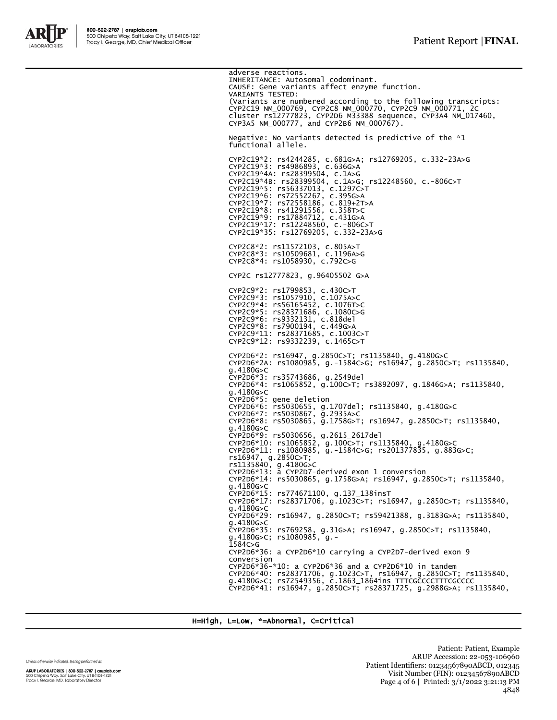

adverse reactions. INHERITANCE: Autosomal codominant. CAUSE: Gene variants affect enzyme function. VARIANTS TESTED: (Variants are numbered according to the following transcripts:<br>CYP2C19 NM\_000769, CYP2C8 NM\_000770, CYP2C9 NM\_000771, 2C<br>cluster rs12777823, CYP2D6 M33388 sequence, CYP3A4 NM\_017460,<br>CYP3A5 NM\_000777, and CYP2B6 NM\_000767) Negative: No variants detected is predictive of the \*1 functional allele. CYP2C19\*2: rs4244285, c.681G>A; rs12769205, c.332-23A>G CYP2C19\*3: rs4986893, c.636G>A CYP2C19\*4A: rs28399504, c.1A>G CYP2C19\*4B: rs28399504, c.1A>G; rs12248560, c.-806C>T CYP2C19\*5: rs56337013, c.1297C>T CYP2C19\*6: rs72552267, c.395G>A CYP2C19\*7: rs72558186, c.819+2T>A CYP2C19\*8: rs41291556, c.358T>C CYP2C19\*9: rs17884712, c.431G>A CYP2C19\*17: rs12248560, c.-806C>T CYP2C19\*35: rs12769205, c.332-23A>G CYP2C8\*2: rs11572103, c.805A>T CYP2C8\*3: rs10509681, c.1196A>G CYP2C8\*4: rs1058930, c.792C>G CYP2C rs12777823, g.96405502 G>A CYP2C9\*2: rs1799853, c.430C>T CYP2C9\*3: rs1057910, c.1075A>C CYP2C9\*4: rs56165452, c.1076T>C CYP2C9\*5: rs28371686, c.1080C>G CYP2C9\*6: rs9332131, c.818del CYP2C9\*8: rs7900194, c.449G>A CYP2C9\*11: rs28371685, c.1003C>T CYP2C9\*12: rs9332239, c.1465C>T CYP2D6\*2: rs16947, g.2850C>T; rs1135840, g.4180G>C CYP2D6\*2A: rs1080985, g.-1584C>G; rs16947, g.2850C>T; rs1135840, g.4180G>C CYP2D6\*3: rs35743686, g.2549del CYP2D6\*4: rs1065852, g.100C>T; rs3892097, g.1846G>A; rs1135840, g.4180G>C CYP2D6\*5: gene deletion CYP2D6\*6: rs5030655, g.1707del; rs1135840, g.4180G>C CYP2D6\*7: rs5030867, g.2935A>C CTFZD0"0. 133838867, g.2935A>C<br>CYP2D6\*7: rs5030867, g.2935A>C<br>CYP2D6\*8: rs5030865, g.1758G>T; rs16947, g.2850C>T; rs1135840, g.4180G>C CYP2D6\*9: rs5030656, g.2615\_2617del CYP2D6\*10: rs1065852, g.100C>T; rs1135840, g.4180G>C CYP2D6\*11: rs1080985, g.-1584C>G; rs201377835, g.883G>C; rs16947, g.2850C>T; rs1135840, g.4180G>C CYP2D6\*13: a CYP2D7-derived exon 1 conversion CYP2D6\*14: rs5030865, g.1758G>A; rs16947, g.2850C>T; rs1135840, g.4180G>C CYP2D6\*15: rs774671100, g.137\_138insT CYP2D6\*17: rs28371706, g.1023C>T; rs16947, g.2850C>T; rs1135840, g.4180G>C CYP2D6\*29: rs16947, g.2850C>T; rs59421388, g.3183G>A; rs1135840, g.4180G>C CYP2D6\*35: rs769258, g.31G>A; rs16947, g.2850C>T; rs1135840, g.4180G>C; rs1080985, g.- 1584C>G CYP2D6\*36: a CYP2D6\*10 carrying a CYP2D7-derived exon 9 conversion CYP2D6\*36-\*10: a CYP2D6\*36 and a CYP2D6\*10 in tandem CYP2D6\*40: rs28371706, g.1023C>T, rs16947, g.2850C>T; rs1135840, g.4180G>C; rs72549356, c.1863\_1864ins TTTCGCCCCTTTCGCCCC CYP2D6\*41: rs16947, g.2850C>T; rs28371725, g.2988G>A; rs1135840,

H=High, L=Low, \*=Abnormal, C=Critical

Unless otherwise indicated, testing performed at:

ARUP LABORATORIES | 800-522-2787 | aruplab.com 500 Chipeta Way, Salt Lake City, UT 84108-1221<br>Tracy I. George, MD, Laboratory Director

Patient: Patient, Example ARUP Accession: 22-053-106960 Patient Identifiers: 01234567890ABCD, 012345 Visit Number (FIN): 01234567890ABCD Page 4 of 6 | Printed: 3/1/2022 3:21:13 PM 4848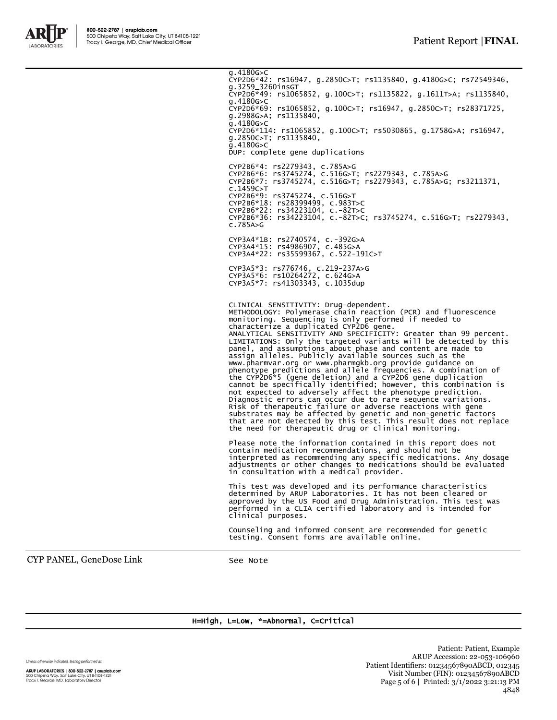

g.4180G>C<br>CYP2D6\*42: rs16947, g.2850C>T; rs1135840, g.4180G>C; rs72549346, g.3259\_3260insGT CYP2D6\*49: rs1065852, g.100C>T; rs1135822, g.1611T>A; rs1135840, g.4180G>C CYP2D6\*69: rs1065852, g.100C>T; rs16947, g.2850C>T; rs28371725, g.2988G>A; rs1135840,  $g.2988G>A$ ; rs1135840,<br>g.4180G>C CYP2D6\*114: rs1065852, g.100C>T; rs5030865, g.1758G>A; rs16947, g.2850C>T; rs1135840,  $q.4180<sub>G>C</sub>$ DUP: complete gene duplications CYP2B6\*4: rs2279343, c.785A>G CYP2B6\*6: rs3745274, c.516G>T; rs2279343, c.785A>G CYP2B6\*7: rs3745274, c.516G>T; rs2279343, c.785A>G; rs3211371, c.1459C>T CYP2B6\*9: rs3745274, c.516G>T CYP2B6\*18: rs28399499, c.983T>C CYP2B6\*22: rs34223104, c.-82T>C CYP2B6\*36: rs34223104, c.-82T>C; rs3745274, c.516G>T; rs2279343, c.785A>G CYP3A4\*1B: rs2740574, c.-392G>A CYP3A4\*15: rs4986907, c.485G>A CYP3A4\*22: rs35599367, c.522-191C>T CYP3A5\*3: rs776746, c.219-237A>G CYP3A5\*6: rs10264272, c.624G>A CYP3A5\*7: rs41303343, c.1035dup CLINICAL SENSITIVITY: Drug-dependent. METHODOLOGY: Polymerase chain reaction (PCR) and fluorescence monitoring. Sequencing is only performed if needed to characterize a duplicated CYP2D6 gene. ANALYTICAL SENSITIVITY AND SPECIFICITY: Greater than 99 percent. LIMITATIONS: Only the targeted variants will be detected by this<br>panel, and assumptions about phase and content are made to<br>assign alleles. Publicly available sources such as the<br>www.pharmvar.org or www.pharmgkb.org provid phenotype predictions and allele frequencies. A combination of the CYP2D6\*5 (gene deletion) and a CYP2D6 gene duplication cannot be specifically identified; however, this combination is not expected to adversely affect the phenotype prediction. Diagnostic errors can occur due to rare sequence variations. Risk of therapeutic failure or adverse reactions with gene substrates may be affected by genetic and non-genetic factors that are not detected by this test. This result does not replace

Please note the information contained in this report does not contain medication recommendations, and should not be interpreted as recommending any specific medications. Any dosage adjustments or other changes to medications should be evaluated in consultation with a medical provider.

the need for therapeutic drug or clinical monitoring.

This test was developed and its performance characteristics determined by ARUP Laboratories. It has not been cleared or approved by the US Food and Drug Administration. This test was performed in a CLIA certified laboratory and is intended for clinical purposes.

Counseling and informed consent are recommended for genetic testing. Consent forms are available online.

CYP PANEL, GeneDose Link See Note

### H=High, L=Low, \*=Abnormal, C=Critical

Unless otherwise indicated, testing performed at:

ARUP LABORATORIES | 800-522-2787 | aruplab.com 500 Chipeta Way, Salt Lake City, UT 84108-1221<br>Tracy I. George, MD, Laboratory Director

Patient: Patient, Example ARUP Accession: 22-053-106960 Patient Identifiers: 01234567890ABCD, 012345 Visit Number (FIN): 01234567890ABCD Page 5 of 6 | Printed: 3/1/2022 3:21:13 PM 4848